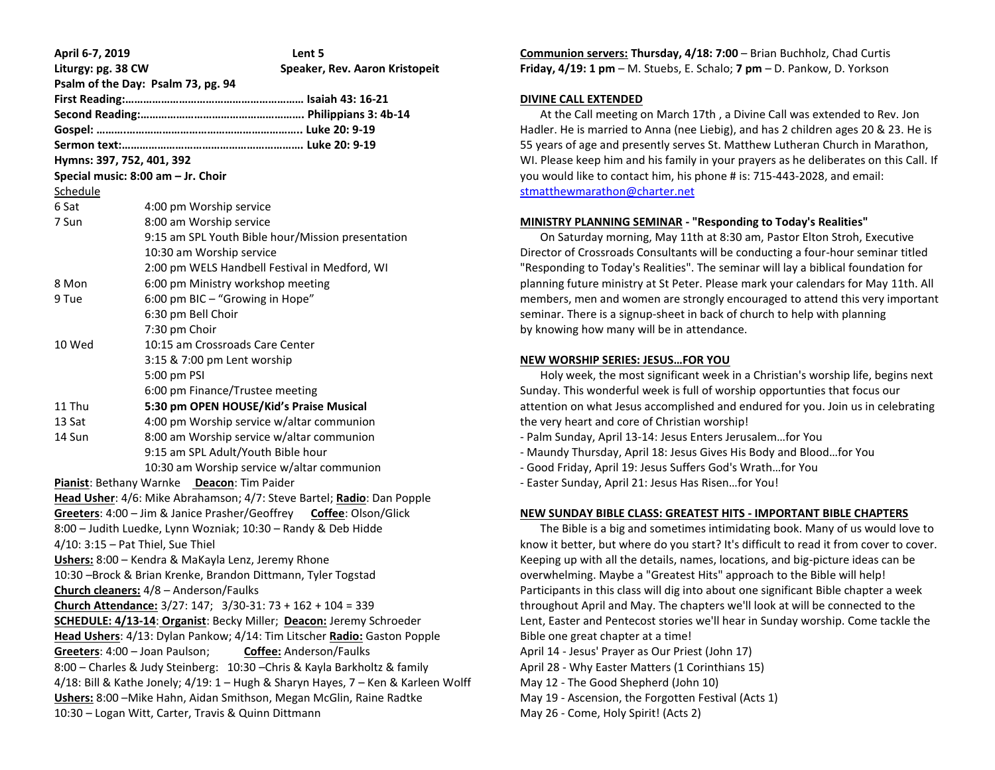| April 6-7, 2019                                                                   | Lent 5                                                      |  |  |  |
|-----------------------------------------------------------------------------------|-------------------------------------------------------------|--|--|--|
| Liturgy: pg. 38 CW                                                                | Speaker, Rev. Aaron Kristopeit                              |  |  |  |
| Psalm of the Day: Psalm 73, pg. 94                                                |                                                             |  |  |  |
|                                                                                   |                                                             |  |  |  |
|                                                                                   |                                                             |  |  |  |
|                                                                                   |                                                             |  |  |  |
|                                                                                   |                                                             |  |  |  |
| Hymns: 397, 752, 401, 392                                                         |                                                             |  |  |  |
|                                                                                   | Special music: 8:00 am - Jr. Choir                          |  |  |  |
| Schedule                                                                          |                                                             |  |  |  |
| 6 Sat                                                                             | 4:00 pm Worship service                                     |  |  |  |
| 7 Sun                                                                             | 8:00 am Worship service                                     |  |  |  |
|                                                                                   | 9:15 am SPL Youth Bible hour/Mission presentation           |  |  |  |
|                                                                                   | 10:30 am Worship service                                    |  |  |  |
|                                                                                   | 2:00 pm WELS Handbell Festival in Medford, WI               |  |  |  |
| 8 Mon                                                                             | 6:00 pm Ministry workshop meeting                           |  |  |  |
| 9 Tue                                                                             | 6:00 pm BIC - "Growing in Hope"                             |  |  |  |
|                                                                                   | 6:30 pm Bell Choir                                          |  |  |  |
|                                                                                   | 7:30 pm Choir                                               |  |  |  |
| 10 Wed                                                                            | 10:15 am Crossroads Care Center                             |  |  |  |
|                                                                                   | 3:15 & 7:00 pm Lent worship                                 |  |  |  |
|                                                                                   | 5:00 pm PSI                                                 |  |  |  |
|                                                                                   | 6:00 pm Finance/Trustee meeting                             |  |  |  |
| 11 Thu                                                                            | 5:30 pm OPEN HOUSE/Kid's Praise Musical                     |  |  |  |
| 13 Sat                                                                            | 4:00 pm Worship service w/altar communion                   |  |  |  |
| 14 Sun                                                                            | 8:00 am Worship service w/altar communion                   |  |  |  |
|                                                                                   | 9:15 am SPL Adult/Youth Bible hour                          |  |  |  |
|                                                                                   | 10:30 am Worship service w/altar communion                  |  |  |  |
| Pianist: Bethany Warnke Deacon: Tim Paider                                        |                                                             |  |  |  |
| Head Usher: 4/6: Mike Abrahamson; 4/7: Steve Bartel; Radio: Dan Popple            |                                                             |  |  |  |
| Greeters: 4:00 - Jim & Janice Prasher/Geoffrey Coffee: Olson/Glick                |                                                             |  |  |  |
| 8:00 - Judith Luedke, Lynn Wozniak; 10:30 - Randy & Deb Hidde                     |                                                             |  |  |  |
| $4/10$ : 3:15 - Pat Thiel, Sue Thiel                                              |                                                             |  |  |  |
| Ushers: 8:00 - Kendra & MaKayla Lenz, Jeremy Rhone                                |                                                             |  |  |  |
| 10:30 -Brock & Brian Krenke, Brandon Dittmann, Tyler Togstad                      |                                                             |  |  |  |
|                                                                                   | Church cleaners: 4/8 - Anderson/Faulks                      |  |  |  |
|                                                                                   | Church Attendance: 3/27: 147; 3/30-31: 73 + 162 + 104 = 339 |  |  |  |
| SCHEDULE: 4/13-14: Organist: Becky Miller; Deacon: Jeremy Schroeder               |                                                             |  |  |  |
| Head Ushers: 4/13: Dylan Pankow; 4/14: Tim Litscher Radio: Gaston Popple          |                                                             |  |  |  |
| Greeters: 4:00 - Joan Paulson;<br>Coffee: Anderson/Faulks                         |                                                             |  |  |  |
| 8:00 - Charles & Judy Steinberg: 10:30 - Chris & Kayla Barkholtz & family         |                                                             |  |  |  |
| 4/18: Bill & Kathe Jonely; 4/19: 1 - Hugh & Sharyn Hayes, 7 - Ken & Karleen Wolff |                                                             |  |  |  |
| Ushers: 8:00 - Mike Hahn, Aidan Smithson, Megan McGlin, Raine Radtke              |                                                             |  |  |  |
| 10:30 - Logan Witt, Carter, Travis & Quinn Dittmann                               |                                                             |  |  |  |

**Communion servers: Thursday, 4/18: 7:00** – Brian Buchholz, Chad Curtis **Friday, 4/19: 1 pm** – M. Stuebs, E. Schalo; **7 pm** – D. Pankow, D. Yorkson

#### **DIVINE CALL EXTENDED**

 At the Call meeting on March 17th , a Divine Call was extended to Rev. Jon Hadler. He is married to Anna (nee Liebig), and has 2 children ages 20 & 23. He is 55 years of age and presently serves St. Matthew Lutheran Church in Marathon, WI. Please keep him and his family in your prayers as he deliberates on this Call. If you would like to contact him, his phone # is: 715-443-2028, and email: [stmatthewmarathon@charter.net](mailto:stmatthewmarathon@charter.net)

## **MINISTRY PLANNING SEMINAR - "Responding to Today's Realities"**

 On Saturday morning, May 11th at 8:30 am, Pastor Elton Stroh, Executive Director of Crossroads Consultants will be conducting a four-hour seminar titled "Responding to Today's Realities". The seminar will lay a biblical foundation for planning future ministry at St Peter. Please mark your calendars for May 11th. All members, men and women are strongly encouraged to attend this very important seminar. There is a signup-sheet in back of church to help with planning by knowing how many will be in attendance.

## **NEW WORSHIP SERIES: JESUS…FOR YOU**

 Holy week, the most significant week in a Christian's worship life, begins next Sunday. This wonderful week is full of worship opportunties that focus our attention on what Jesus accomplished and endured for you. Join us in celebrating the very heart and core of Christian worship!

- Palm Sunday, April 13-14: Jesus Enters Jerusalem…for You
- Maundy Thursday, April 18: Jesus Gives His Body and Blood…for You
- Good Friday, April 19: Jesus Suffers God's Wrath…for You
- Easter Sunday, April 21: Jesus Has Risen…for You!

## **NEW SUNDAY BIBLE CLASS: GREATEST HITS - IMPORTANT BIBLE CHAPTERS**

 The Bible is a big and sometimes intimidating book. Many of us would love to know it better, but where do you start? It's difficult to read it from cover to cover. Keeping up with all the details, names, locations, and big-picture ideas can be overwhelming. Maybe a "Greatest Hits" approach to the Bible will help! Participants in this class will dig into about one significant Bible chapter a week throughout April and May. The chapters we'll look at will be connected to the Lent, Easter and Pentecost stories we'll hear in Sunday worship. Come tackle the Bible one great chapter at a time!

- April 14 Jesus' Prayer as Our Priest (John 17)
- April 28 Why Easter Matters (1 Corinthians 15)
- May 12 The Good Shepherd (John 10)
- May 19 Ascension, the Forgotten Festival (Acts 1)
- May 26 Come, Holy Spirit! (Acts 2)